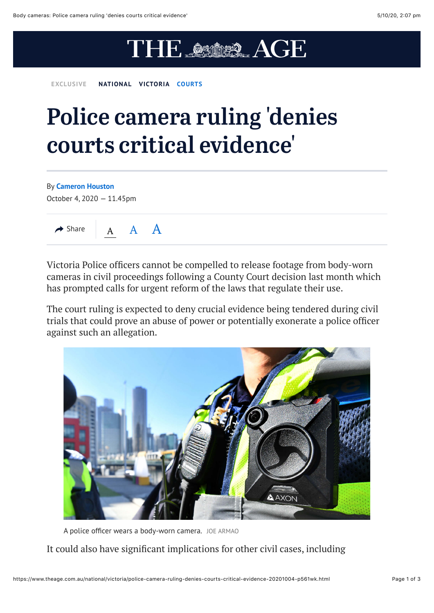## THE AS AGE

**EXCLUSIVE [NATIONAL](https://www.theage.com.au/national) [VICTORIA](https://www.theage.com.au/national/victoria) [COURTS](https://www.theage.com.au/topic/melbourne-courts-5zb)**

## Police camera ruling 'denies courts critical evidence'

By **[Cameron Houston](https://www.theage.com.au/by/cameron-houston-gsko1i)**

October 4, 2020 — 11.45pm



Victoria Police officers cannot be compelled to release footage from body-worn cameras in civil proceedings following a County Court decision last month which has prompted calls for urgent reform of the laws that regulate their use.

The court ruling is expected to deny crucial evidence being tendered during civil trials that could prove an abuse of power or potentially exonerate a police officer against such an allegation.



A police officer wears a body-worn camera. JOE ARMAO

It could also have significant implications for other civil cases, including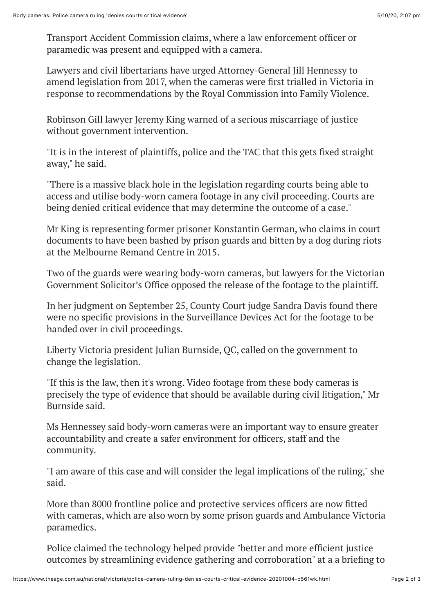Transport Accident Commission claims, where a law enforcement officer or paramedic was present and equipped with a camera.

Lawyers and civil libertarians have urged Attorney-General Jill Hennessy to amend legislation from 2017, when the cameras were first trialled in Victoria in response to recommendations by the Royal Commission into Family Violence.

Robinson Gill lawyer Jeremy King warned of a serious miscarriage of justice without government intervention.

"It is in the interest of plaintiffs, police and the TAC that this gets fixed straight away," he said.

"There is a massive black hole in the legislation regarding courts being able to access and utilise body-worn camera footage in any civil proceeding. Courts are being denied critical evidence that may determine the outcome of a case."

Mr King is representing former prisoner Konstantin German, who claims in court documents to have been bashed by prison guards and bitten by a dog during riots at the Melbourne Remand Centre in 2015.

Two of the guards were wearing body-worn cameras, but lawyers for the Victorian Government Solicitor's Office opposed the release of the footage to the plaintiff.

In her judgment on September 25, County Court judge Sandra Davis found there were no specific provisions in the Surveillance Devices Act for the footage to be handed over in civil proceedings.

Liberty Victoria president Julian Burnside, QC, called on the government to change the legislation.

"If this is the law, then it's wrong. Video footage from these body cameras is precisely the type of evidence that should be available during civil litigation," Mr Burnside said.

Ms Hennessey said body-worn cameras were an important way to ensure greater accountability and create a safer environment for officers, staff and the community.

"I am aware of this case and will consider the legal implications of the ruling," she said.

More than 8000 frontline police and protective services officers are now fitted with cameras, which are also worn by some prison guards and Ambulance Victoria paramedics.

Police claimed the technology helped provide "better and more efficient justice outcomes by streamlining evidence gathering and corroboration" at a a briefing to